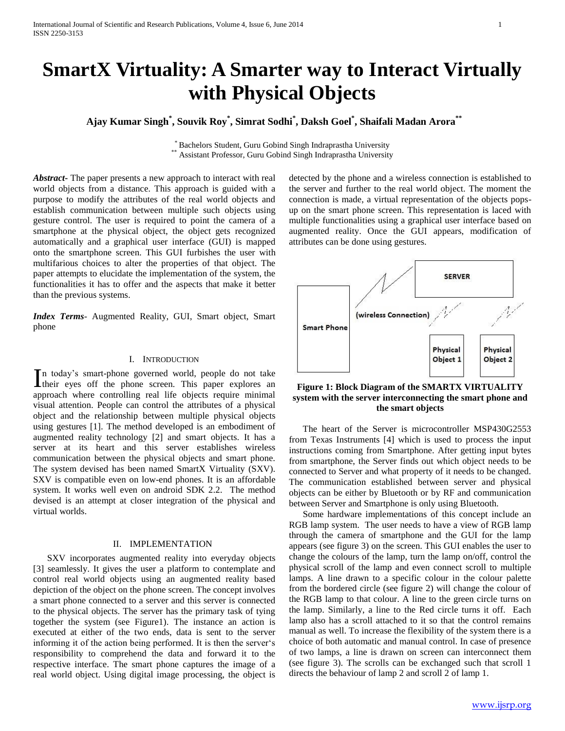# **SmartX Virtuality: A Smarter way to Interact Virtually with Physical Objects**

**Ajay Kumar Singh\* , Souvik Roy\* , Simrat Sodhi\* , Daksh Goel\* , Shaifali Madan Arora\*\***

\* Bachelors Student, Guru Gobind Singh Indraprastha University Assistant Professor, Guru Gobind Singh Indraprastha University

*Abstract***-** The paper presents a new approach to interact with real world objects from a distance. This approach is guided with a purpose to modify the attributes of the real world objects and establish communication between multiple such objects using gesture control. The user is required to point the camera of a smartphone at the physical object, the object gets recognized automatically and a graphical user interface (GUI) is mapped onto the smartphone screen. This GUI furbishes the user with multifarious choices to alter the properties of that object. The paper attempts to elucidate the implementation of the system, the functionalities it has to offer and the aspects that make it better than the previous systems.

*Index Terms*- Augmented Reality, GUI, Smart object, Smart phone

# I. INTRODUCTION

n today's smart-phone governed world, people do not take In today's smart-phone governed world, people do not take<br>their eyes off the phone screen. This paper explores an approach where controlling real life objects require minimal visual attention. People can control the attributes of a physical object and the relationship between multiple physical objects using gestures [1]. The method developed is an embodiment of augmented reality technology [2] and smart objects. It has a server at its heart and this server establishes wireless communication between the physical objects and smart phone. The system devised has been named SmartX Virtuality (SXV). SXV is compatible even on low-end phones. It is an affordable system. It works well even on android SDK 2.2. The method devised is an attempt at closer integration of the physical and virtual worlds.

## II. IMPLEMENTATION

 SXV incorporates augmented reality into everyday objects [3] seamlessly. It gives the user a platform to contemplate and control real world objects using an augmented reality based depiction of the object on the phone screen. The concept involves a smart phone connected to a server and this server is connected to the physical objects. The server has the primary task of tying together the system (see Figure1). The instance an action is executed at either of the two ends, data is sent to the server informing it of the action being performed. It is then the server's responsibility to comprehend the data and forward it to the respective interface. The smart phone captures the image of a real world object. Using digital image processing, the object is

detected by the phone and a wireless connection is established to the server and further to the real world object. The moment the connection is made, a virtual representation of the objects popsup on the smart phone screen. This representation is laced with multiple functionalities using a graphical user interface based on augmented reality. Once the GUI appears, modification of attributes can be done using gestures.



**Figure 1: Block Diagram of the SMARTX VIRTUALITY system with the server interconnecting the smart phone and the smart objects**

 The heart of the Server is microcontroller MSP430G2553 from Texas Instruments [4] which is used to process the input instructions coming from Smartphone. After getting input bytes from smartphone, the Server finds out which object needs to be connected to Server and what property of it needs to be changed. The communication established between server and physical objects can be either by Bluetooth or by RF and communication between Server and Smartphone is only using Bluetooth.

 Some hardware implementations of this concept include an RGB lamp system. The user needs to have a view of RGB lamp through the camera of smartphone and the GUI for the lamp appears (see figure 3) on the screen. This GUI enables the user to change the colours of the lamp, turn the lamp on/off, control the physical scroll of the lamp and even connect scroll to multiple lamps. A line drawn to a specific colour in the colour palette from the bordered circle (see figure 2) will change the colour of the RGB lamp to that colour. A line to the green circle turns on the lamp. Similarly, a line to the Red circle turns it off. Each lamp also has a scroll attached to it so that the control remains manual as well. To increase the flexibility of the system there is a choice of both automatic and manual control. In case of presence of two lamps, a line is drawn on screen can interconnect them (see figure 3). The scrolls can be exchanged such that scroll 1 directs the behaviour of lamp 2 and scroll 2 of lamp 1.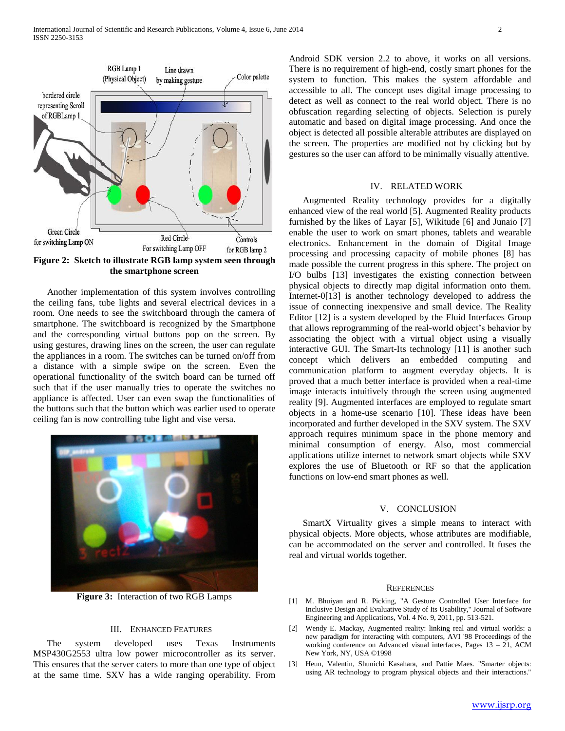

**Figure 2: Sketch to illustrate RGB lamp system seen through the smartphone screen**

 Another implementation of this system involves controlling the ceiling fans, tube lights and several electrical devices in a room. One needs to see the switchboard through the camera of smartphone. The switchboard is recognized by the Smartphone and the corresponding virtual buttons pop on the screen. By using gestures, drawing lines on the screen, the user can regulate the appliances in a room. The switches can be turned on/off from a distance with a simple swipe on the screen. Even the operational functionality of the switch board can be turned off such that if the user manually tries to operate the switches no appliance is affected. User can even swap the functionalities of the buttons such that the button which was earlier used to operate ceiling fan is now controlling tube light and vise versa.



**Figure 3:** Interaction of two RGB Lamps

### III. ENHANCED FEATURES

 The system developed uses Texas Instruments MSP430G2553 ultra low power microcontroller as its server. This ensures that the server caters to more than one type of object at the same time. SXV has a wide ranging operability. From Android SDK version 2.2 to above, it works on all versions. There is no requirement of high-end, costly smart phones for the system to function. This makes the system affordable and accessible to all. The concept uses digital image processing to detect as well as connect to the real world object. There is no obfuscation regarding selecting of objects. Selection is purely automatic and based on digital image processing. And once the object is detected all possible alterable attributes are displayed on the screen. The properties are modified not by clicking but by gestures so the user can afford to be minimally visually attentive.

#### IV. RELATED WORK

 Augmented Reality technology provides for a digitally enhanced view of the real world [5]. Augmented Reality products furnished by the likes of Layar [5], Wikitude [6] and Junaio [7] enable the user to work on smart phones, tablets and wearable electronics. Enhancement in the domain of Digital Image processing and processing capacity of mobile phones [8] has made possible the current progress in this sphere. The project on I/O bulbs [13] investigates the existing connection between physical objects to directly map digital information onto them. Internet-0[13] is another technology developed to address the issue of connecting inexpensive and small device. The Reality Editor [12] is a system developed by the Fluid Interfaces Group that allows reprogramming of the real-world object's behavior by associating the object with a virtual object using a visually interactive GUI. The Smart-Its technology [11] is another such concept which delivers an embedded computing and communication platform to augment everyday objects. It is proved that a much better interface is provided when a real-time image interacts intuitively through the screen using augmented reality [9]. Augmented interfaces are employed to regulate smart objects in a home-use scenario [10]. These ideas have been incorporated and further developed in the SXV system. The SXV approach requires minimum space in the phone memory and minimal consumption of energy. Also, most commercial applications utilize internet to network smart objects while SXV explores the use of Bluetooth or RF so that the application functions on low-end smart phones as well.

#### V. CONCLUSION

 SmartX Virtuality gives a simple means to interact with physical objects. More objects, whose attributes are modifiable, can be accommodated on the server and controlled. It fuses the real and virtual worlds together.

#### **REFERENCES**

- [1] M. Bhuiyan and R. Picking, "A Gesture Controlled User Interface for Inclusive Design and Evaluative Study of Its Usability," Journal of Software Engineering and Applications, Vol. 4 No. 9, 2011, pp. 513-521.
- [2] Wendy E. Mackay, Augmented reality: linking real and virtual worlds: a new paradigm for interacting with computers, AVI '98 Proceedings of the working conference on Advanced visual interfaces, Pages 13 – 21, ACM New York, NY, USA ©1998
- [3] Heun, Valentin, Shunichi Kasahara, and Pattie Maes. "Smarter objects: using AR technology to program physical objects and their interactions."